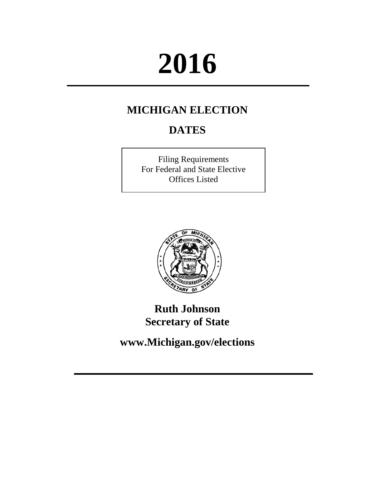# **2016**

## **MICHIGAN ELECTION**

# **DATES**

Filing Requirements For Federal and State Elective Offices Listed



## **Ruth Johnson Secretary of State**

**www.Michigan.gov/elections**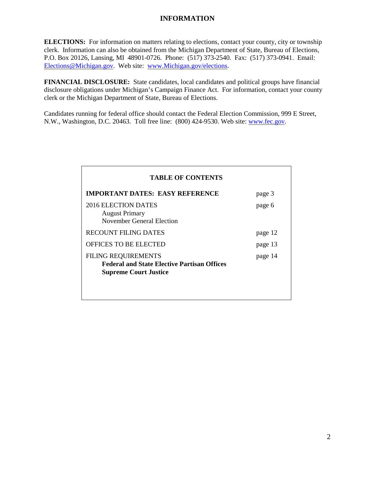#### **INFORMATION**

**ELECTIONS:** For information on matters relating to elections, contact your county, city or township clerk. Information can also be obtained from the Michigan Department of State, Bureau of Elections, P.O. Box 20126, Lansing, MI 48901-0726. Phone: (517) 373-2540. Fax: (517) 373-0941. Email: [Elections@Michigan.gov.](mailto:Elections@Michigan.gov) Web site: [www.Michigan.gov/elections.](http://www.michigan.gov/elections)

**FINANCIAL DISCLOSURE:** State candidates, local candidates and political groups have financial disclosure obligations under Michigan's Campaign Finance Act. For information, contact your county clerk or the Michigan Department of State, Bureau of Elections.

Candidates running for federal office should contact the Federal Election Commission, 999 E Street, N.W., Washington, D.C. 20463. Toll free line: (800) 424-9530. Web site: [www.fec.gov.](http://www.fec.gov/)

| <b>TABLE OF CONTENTS</b>                                                                                         |         |  |  |  |
|------------------------------------------------------------------------------------------------------------------|---------|--|--|--|
| <b>IMPORTANT DATES: EASY REFERENCE</b>                                                                           | page 3  |  |  |  |
| 2016 ELECTION DATES<br><b>August Primary</b><br>November General Election                                        | page 6  |  |  |  |
| RECOUNT FILING DATES                                                                                             | page 12 |  |  |  |
| <b>OFFICES TO BE ELECTED</b>                                                                                     | page 13 |  |  |  |
| <b>FILING REQUIREMENTS</b><br><b>Federal and State Elective Partisan Offices</b><br><b>Supreme Court Justice</b> | page 14 |  |  |  |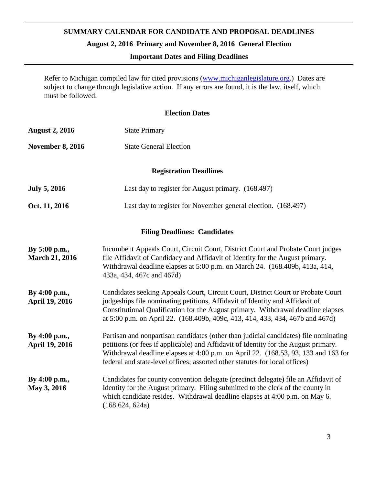### **SUMMARY CALENDAR FOR CANDIDATE AND PROPOSAL DEADLINES**

**August 2, 2016 Primary and November 8, 2016 General Election**

#### **Important Dates and Filing Deadlines**

Refer to Michigan compiled law for cited provisions [\(www.michiganlegislature.org.](http://www.michiganlegislature.org/)) Dates are subject to change through legislative action. If any errors are found, it is the law, itself, which must be followed.

#### **Election Dates**

| <b>August 2, 2016</b>                  | <b>State Primary</b>                                                                                                                                                                                                                                                                                                                             |  |  |  |
|----------------------------------------|--------------------------------------------------------------------------------------------------------------------------------------------------------------------------------------------------------------------------------------------------------------------------------------------------------------------------------------------------|--|--|--|
| <b>November 8, 2016</b>                | <b>State General Election</b>                                                                                                                                                                                                                                                                                                                    |  |  |  |
|                                        | <b>Registration Deadlines</b>                                                                                                                                                                                                                                                                                                                    |  |  |  |
| <b>July 5, 2016</b>                    | Last day to register for August primary. (168.497)                                                                                                                                                                                                                                                                                               |  |  |  |
| Oct. 11, 2016                          | Last day to register for November general election. (168.497)                                                                                                                                                                                                                                                                                    |  |  |  |
|                                        | <b>Filing Deadlines: Candidates</b>                                                                                                                                                                                                                                                                                                              |  |  |  |
| By 5:00 p.m.,<br><b>March 21, 2016</b> | Incumbent Appeals Court, Circuit Court, District Court and Probate Court judges<br>file Affidavit of Candidacy and Affidavit of Identity for the August primary.<br>Withdrawal deadline elapses at 5:00 p.m. on March 24. (168.409b, 413a, 414,<br>433a, 434, 467c and 467d)                                                                     |  |  |  |
| By 4:00 p.m.,<br><b>April 19, 2016</b> | Candidates seeking Appeals Court, Circuit Court, District Court or Probate Court<br>judgeships file nominating petitions, Affidavit of Identity and Affidavit of<br>Constitutional Qualification for the August primary. Withdrawal deadline elapses<br>at 5:00 p.m. on April 22. (168.409b, 409c, 413, 414, 433, 434, 467b and 467d)            |  |  |  |
| By 4:00 p.m.,<br><b>April 19, 2016</b> | Partisan and nonpartisan candidates (other than judicial candidates) file nominating<br>petitions (or fees if applicable) and Affidavit of Identity for the August primary.<br>Withdrawal deadline elapses at 4:00 p.m. on April 22. (168.53, 93, 133 and 163 for<br>federal and state-level offices; assorted other statutes for local offices) |  |  |  |
| By 4:00 p.m.,<br>May 3, 2016           | Candidates for county convention delegate (precinct delegate) file an Affidavit of<br>Identity for the August primary. Filing submitted to the clerk of the county in<br>which candidate resides. Withdrawal deadline elapses at 4:00 p.m. on May 6.<br>(168.624, 624a)                                                                          |  |  |  |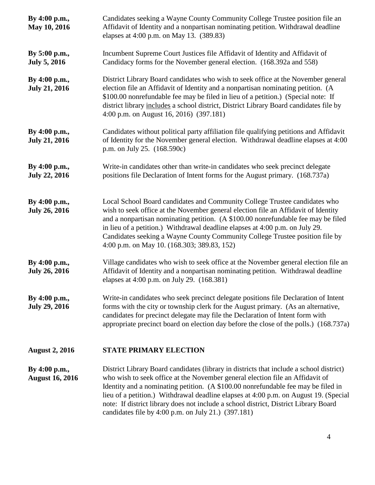| By 4:00 p.m.,<br>May 10, 2016           | Candidates seeking a Wayne County Community College Trustee position file an<br>Affidavit of Identity and a nonpartisan nominating petition. Withdrawal deadline<br>elapses at 4:00 p.m. on May 13. (389.83)                                                                                                                                                                                                                                                                                             |  |  |  |
|-----------------------------------------|----------------------------------------------------------------------------------------------------------------------------------------------------------------------------------------------------------------------------------------------------------------------------------------------------------------------------------------------------------------------------------------------------------------------------------------------------------------------------------------------------------|--|--|--|
| By 5:00 p.m.,<br><b>July 5, 2016</b>    | Incumbent Supreme Court Justices file Affidavit of Identity and Affidavit of<br>Candidacy forms for the November general election. (168.392a and 558)                                                                                                                                                                                                                                                                                                                                                    |  |  |  |
| By 4:00 p.m.,<br><b>July 21, 2016</b>   | District Library Board candidates who wish to seek office at the November general<br>election file an Affidavit of Identity and a nonpartisan nominating petition. (A<br>\$100.00 nonrefundable fee may be filed in lieu of a petition.) (Special note: If<br>district library includes a school district, District Library Board candidates file by<br>4:00 p.m. on August 16, 2016) (397.181)                                                                                                          |  |  |  |
| By 4:00 p.m.,<br><b>July 21, 2016</b>   | Candidates without political party affiliation file qualifying petitions and Affidavit<br>of Identity for the November general election. Withdrawal deadline elapses at 4:00<br>p.m. on July 25. (168.590c)                                                                                                                                                                                                                                                                                              |  |  |  |
| By 4:00 p.m.,<br><b>July 22, 2016</b>   | Write-in candidates other than write-in candidates who seek precinct delegate<br>positions file Declaration of Intent forms for the August primary. (168.737a)                                                                                                                                                                                                                                                                                                                                           |  |  |  |
| By 4:00 p.m.,<br><b>July 26, 2016</b>   | Local School Board candidates and Community College Trustee candidates who<br>wish to seek office at the November general election file an Affidavit of Identity<br>and a nonpartisan nominating petition. (A \$100.00 nonrefundable fee may be filed<br>in lieu of a petition.) Withdrawal deadline elapses at 4:00 p.m. on July 29.<br>Candidates seeking a Wayne County Community College Trustee position file by<br>4:00 p.m. on May 10. (168.303; 389.83, 152)                                     |  |  |  |
| By 4:00 p.m.,<br><b>July 26, 2016</b>   | Village candidates who wish to seek office at the November general election file an<br>Affidavit of Identity and a nonpartisan nominating petition. Withdrawal deadline<br>elapses at 4:00 p.m. on July 29. (168.381)                                                                                                                                                                                                                                                                                    |  |  |  |
| By 4:00 p.m.,<br><b>July 29, 2016</b>   | Write-in candidates who seek precinct delegate positions file Declaration of Intent<br>forms with the city or township clerk for the August primary. (As an alternative,<br>candidates for precinct delegate may file the Declaration of Intent form with<br>appropriate precinct board on election day before the close of the polls.) (168.737a)                                                                                                                                                       |  |  |  |
| <b>August 2, 2016</b>                   | <b>STATE PRIMARY ELECTION</b>                                                                                                                                                                                                                                                                                                                                                                                                                                                                            |  |  |  |
| By 4:00 p.m.,<br><b>August 16, 2016</b> | District Library Board candidates (library in districts that include a school district)<br>who wish to seek office at the November general election file an Affidavit of<br>Identity and a nominating petition. (A \$100.00 nonrefundable fee may be filed in<br>lieu of a petition.) Withdrawal deadline elapses at 4:00 p.m. on August 19. (Special<br>note: If district library does not include a school district, District Library Board<br>candidates file by $4:00$ p.m. on July 21.) $(397.181)$ |  |  |  |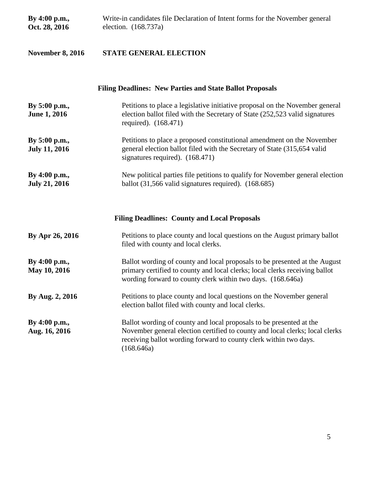| By 4:00 p.m.,<br>Oct. 28, 2016        | Write-in candidates file Declaration of Intent forms for the November general<br>election. (168.737a)                                                                                                                                  |  |  |  |
|---------------------------------------|----------------------------------------------------------------------------------------------------------------------------------------------------------------------------------------------------------------------------------------|--|--|--|
| <b>November 8, 2016</b>               | <b>STATE GENERAL ELECTION</b>                                                                                                                                                                                                          |  |  |  |
|                                       | <b>Filing Deadlines: New Parties and State Ballot Proposals</b>                                                                                                                                                                        |  |  |  |
| By 5:00 p.m.,<br><b>June 1, 2016</b>  | Petitions to place a legislative initiative proposal on the November general<br>election ballot filed with the Secretary of State (252,523 valid signatures<br>required). (168.471)                                                    |  |  |  |
| By 5:00 p.m.,<br><b>July 11, 2016</b> | Petitions to place a proposed constitutional amendment on the November<br>general election ballot filed with the Secretary of State (315,654 valid<br>signatures required). (168.471)                                                  |  |  |  |
| By 4:00 p.m.,<br><b>July 21, 2016</b> | New political parties file petitions to qualify for November general election<br>ballot $(31,566 \text{ valid signatures required})$ . $(168.685)$                                                                                     |  |  |  |
|                                       | <b>Filing Deadlines: County and Local Proposals</b>                                                                                                                                                                                    |  |  |  |
| By Apr 26, 2016                       | Petitions to place county and local questions on the August primary ballot<br>filed with county and local clerks.                                                                                                                      |  |  |  |
| By 4:00 p.m.,<br>May 10, 2016         | Ballot wording of county and local proposals to be presented at the August<br>primary certified to county and local clerks; local clerks receiving ballot<br>wording forward to county clerk within two days. (168.646a)               |  |  |  |
| By Aug. 2, 2016                       | Petitions to place county and local questions on the November general<br>election ballot filed with county and local clerks.                                                                                                           |  |  |  |
| By 4:00 p.m.,<br>Aug. 16, 2016        | Ballot wording of county and local proposals to be presented at the<br>November general election certified to county and local clerks; local clerks<br>receiving ballot wording forward to county clerk within two days.<br>(168.646a) |  |  |  |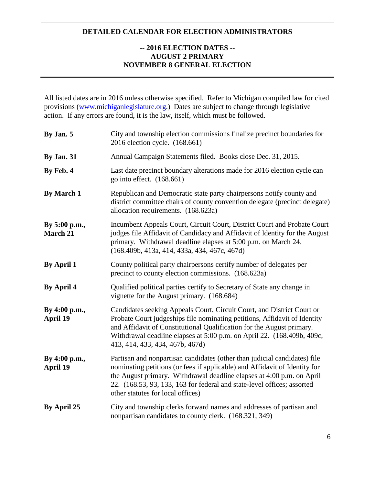#### **DETAILED CALENDAR FOR ELECTION ADMINISTRATORS**

#### **-- 2016 ELECTION DATES -- AUGUST 2 PRIMARY NOVEMBER 8 GENERAL ELECTION**

All listed dates are in 2016 unless otherwise specified. Refer to Michigan compiled law for cited provisions [\(www.michiganlegislature.org.](http://www.michiganlegislature.org/)) Dates are subject to change through legislative action. If any errors are found, it is the law, itself, which must be followed.

| By Jan. 5                        | City and township election commissions finalize precinct boundaries for<br>2016 election cycle. (168.661)                                                                                                                                                                                                                                        |  |  |
|----------------------------------|--------------------------------------------------------------------------------------------------------------------------------------------------------------------------------------------------------------------------------------------------------------------------------------------------------------------------------------------------|--|--|
| <b>By Jan. 31</b>                | Annual Campaign Statements filed. Books close Dec. 31, 2015.                                                                                                                                                                                                                                                                                     |  |  |
| By Feb. 4                        | Last date precinct boundary alterations made for 2016 election cycle can<br>go into effect. $(168.661)$                                                                                                                                                                                                                                          |  |  |
| <b>By March 1</b>                | Republican and Democratic state party chairpersons notify county and<br>district committee chairs of county convention delegate (precinct delegate)<br>allocation requirements. (168.623a)                                                                                                                                                       |  |  |
| By 5:00 p.m.,<br>March 21        | Incumbent Appeals Court, Circuit Court, District Court and Probate Court<br>judges file Affidavit of Candidacy and Affidavit of Identity for the August<br>primary. Withdrawal deadline elapses at 5:00 p.m. on March 24.<br>(168.409b, 413a, 414, 433a, 434, 467c, 467d)                                                                        |  |  |
| <b>By April 1</b>                | County political party chairpersons certify number of delegates per<br>precinct to county election commissions. (168.623a)                                                                                                                                                                                                                       |  |  |
| <b>By April 4</b>                | Qualified political parties certify to Secretary of State any change in<br>vignette for the August primary. (168.684)                                                                                                                                                                                                                            |  |  |
| By 4:00 p.m.,<br><b>April 19</b> | Candidates seeking Appeals Court, Circuit Court, and District Court or<br>Probate Court judgeships file nominating petitions, Affidavit of Identity<br>and Affidavit of Constitutional Qualification for the August primary.<br>Withdrawal deadline elapses at 5:00 p.m. on April 22. (168.409b, 409c,<br>413, 414, 433, 434, 467b, 467d)        |  |  |
| By 4:00 p.m.,<br>April 19        | Partisan and nonpartisan candidates (other than judicial candidates) file<br>nominating petitions (or fees if applicable) and Affidavit of Identity for<br>the August primary. Withdrawal deadline elapses at 4:00 p.m. on April<br>22. (168.53, 93, 133, 163 for federal and state-level offices; assorted<br>other statutes for local offices) |  |  |
| By April 25                      | City and township clerks forward names and addresses of partisan and<br>nonpartisan candidates to county clerk. (168.321, 349)                                                                                                                                                                                                                   |  |  |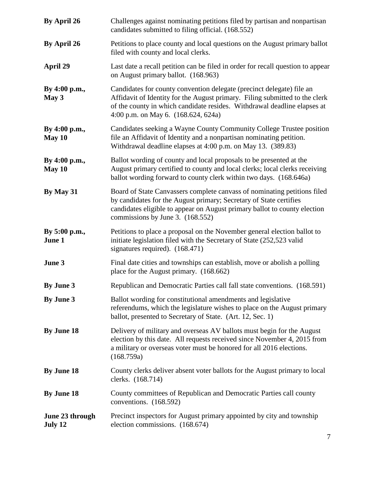| By April 26                | Challenges against nominating petitions filed by partisan and nonpartisan<br>candidates submitted to filing official. (168.552)                                                                                                                                           |  |  |
|----------------------------|---------------------------------------------------------------------------------------------------------------------------------------------------------------------------------------------------------------------------------------------------------------------------|--|--|
| By April 26                | Petitions to place county and local questions on the August primary ballot<br>filed with county and local clerks.                                                                                                                                                         |  |  |
| <b>April 29</b>            | Last date a recall petition can be filed in order for recall question to appear<br>on August primary ballot. (168.963)                                                                                                                                                    |  |  |
| By 4:00 p.m.,<br>May 3     | Candidates for county convention delegate (precinct delegate) file an<br>Affidavit of Identity for the August primary. Filing submitted to the clerk<br>of the county in which candidate resides. Withdrawal deadline elapses at<br>4:00 p.m. on May 6. $(168.624, 624a)$ |  |  |
| By 4:00 p.m.,<br>May 10    | Candidates seeking a Wayne County Community College Trustee position<br>file an Affidavit of Identity and a nonpartisan nominating petition.<br>Withdrawal deadline elapses at 4:00 p.m. on May 13. (389.83)                                                              |  |  |
| By 4:00 p.m.,<br>May 10    | Ballot wording of county and local proposals to be presented at the<br>August primary certified to county and local clerks; local clerks receiving<br>ballot wording forward to county clerk within two days. (168.646a)                                                  |  |  |
| By May 31                  | Board of State Canvassers complete canvass of nominating petitions filed<br>by candidates for the August primary; Secretary of State certifies<br>candidates eligible to appear on August primary ballot to county election<br>commissions by June 3. (168.552)           |  |  |
| By 5:00 p.m.,<br>June 1    | Petitions to place a proposal on the November general election ballot to<br>initiate legislation filed with the Secretary of State (252,523 valid<br>signatures required). (168.471)                                                                                      |  |  |
| June 3                     | Final date cities and townships can establish, move or abolish a polling<br>place for the August primary. (168.662)                                                                                                                                                       |  |  |
| <b>By June 3</b>           | Republican and Democratic Parties call fall state conventions. (168.591)                                                                                                                                                                                                  |  |  |
| By June 3                  | Ballot wording for constitutional amendments and legislative<br>referendums, which the legislature wishes to place on the August primary<br>ballot, presented to Secretary of State. (Art. 12, Sec. 1)                                                                    |  |  |
| By June 18                 | Delivery of military and overseas AV ballots must begin for the August<br>election by this date. All requests received since November 4, 2015 from<br>a military or overseas voter must be honored for all 2016 elections.<br>(168.759a)                                  |  |  |
| By June 18                 | County clerks deliver absent voter ballots for the August primary to local<br>clerks. (168.714)                                                                                                                                                                           |  |  |
| By June 18                 | County committees of Republican and Democratic Parties call county<br>conventions. (168.592)                                                                                                                                                                              |  |  |
| June 23 through<br>July 12 | Precinct inspectors for August primary appointed by city and township<br>election commissions. (168.674)                                                                                                                                                                  |  |  |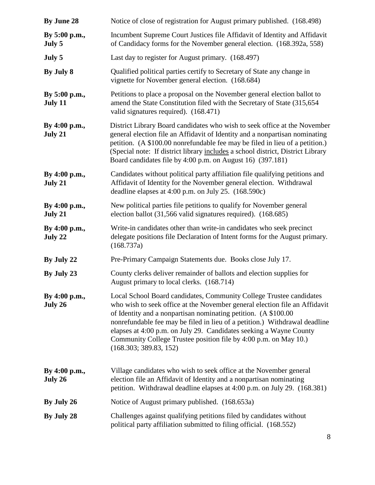| By June 28               | Notice of close of registration for August primary published. (168.498)                                                                                                                                                                                                                                                                                                                                                                                               |  |  |  |
|--------------------------|-----------------------------------------------------------------------------------------------------------------------------------------------------------------------------------------------------------------------------------------------------------------------------------------------------------------------------------------------------------------------------------------------------------------------------------------------------------------------|--|--|--|
| By 5:00 p.m.,<br>July 5  | Incumbent Supreme Court Justices file Affidavit of Identity and Affidavit<br>of Candidacy forms for the November general election. (168.392a, 558)                                                                                                                                                                                                                                                                                                                    |  |  |  |
| July 5                   | Last day to register for August primary. (168.497)                                                                                                                                                                                                                                                                                                                                                                                                                    |  |  |  |
| By July 8                | Qualified political parties certify to Secretary of State any change in<br>vignette for November general election. (168.684)                                                                                                                                                                                                                                                                                                                                          |  |  |  |
| By 5:00 p.m.,<br>July 11 | Petitions to place a proposal on the November general election ballot to<br>amend the State Constitution filed with the Secretary of State (315,654)<br>valid signatures required). (168.471)                                                                                                                                                                                                                                                                         |  |  |  |
| By 4:00 p.m.,<br>July 21 | District Library Board candidates who wish to seek office at the November<br>general election file an Affidavit of Identity and a nonpartisan nominating<br>petition. (A \$100.00 nonrefundable fee may be filed in lieu of a petition.)<br>(Special note: If district library includes a school district, District Library<br>Board candidates file by 4:00 p.m. on August 16) (397.181)                                                                             |  |  |  |
| By 4:00 p.m.,<br>July 21 | Candidates without political party affiliation file qualifying petitions and<br>Affidavit of Identity for the November general election. Withdrawal<br>deadline elapses at 4:00 p.m. on July 25. (168.590c)                                                                                                                                                                                                                                                           |  |  |  |
| By 4:00 p.m.,<br>July 21 | New political parties file petitions to qualify for November general<br>election ballot (31,566 valid signatures required). (168.685)                                                                                                                                                                                                                                                                                                                                 |  |  |  |
| By 4:00 p.m.,<br>July 22 | Write-in candidates other than write-in candidates who seek precinct<br>delegate positions file Declaration of Intent forms for the August primary.<br>(168.737a)                                                                                                                                                                                                                                                                                                     |  |  |  |
| By July 22               | Pre-Primary Campaign Statements due. Books close July 17.                                                                                                                                                                                                                                                                                                                                                                                                             |  |  |  |
| By July 23               | County clerks deliver remainder of ballots and election supplies for<br>August primary to local clerks. (168.714)                                                                                                                                                                                                                                                                                                                                                     |  |  |  |
| By 4:00 p.m.,<br>July 26 | Local School Board candidates, Community College Trustee candidates<br>who wish to seek office at the November general election file an Affidavit<br>of Identity and a nonpartisan nominating petition. (A \$100.00<br>nonrefundable fee may be filed in lieu of a petition.) Withdrawal deadline<br>elapses at 4:00 p.m. on July 29. Candidates seeking a Wayne County<br>Community College Trustee position file by 4:00 p.m. on May 10.)<br>(168.303; 389.83, 152) |  |  |  |
| By 4:00 p.m.,<br>July 26 | Village candidates who wish to seek office at the November general<br>election file an Affidavit of Identity and a nonpartisan nominating<br>petition. Withdrawal deadline elapses at 4:00 p.m. on July 29. (168.381)                                                                                                                                                                                                                                                 |  |  |  |
| By July 26               | Notice of August primary published. (168.653a)                                                                                                                                                                                                                                                                                                                                                                                                                        |  |  |  |
| By July 28               | Challenges against qualifying petitions filed by candidates without<br>political party affiliation submitted to filing official. (168.552)                                                                                                                                                                                                                                                                                                                            |  |  |  |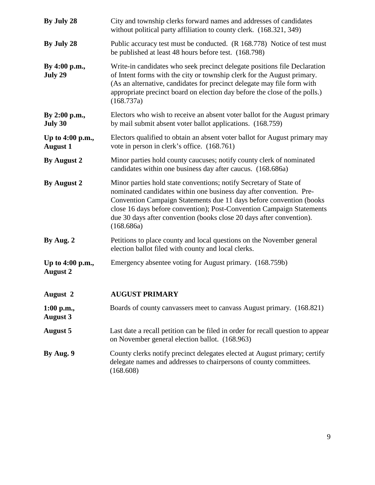| By July 28                          | City and township clerks forward names and addresses of candidates<br>without political party affiliation to county clerk. (168.321, 349)                                                                                                                                                                                                                                       |  |  |  |
|-------------------------------------|---------------------------------------------------------------------------------------------------------------------------------------------------------------------------------------------------------------------------------------------------------------------------------------------------------------------------------------------------------------------------------|--|--|--|
| By July 28                          | Public accuracy test must be conducted. (R 168.778) Notice of test must<br>be published at least 48 hours before test. (168.798)                                                                                                                                                                                                                                                |  |  |  |
| By 4:00 p.m.,<br>July 29            | Write-in candidates who seek precinct delegate positions file Declaration<br>of Intent forms with the city or township clerk for the August primary.<br>(As an alternative, candidates for precinct delegate may file form with<br>appropriate precinct board on election day before the close of the polls.)<br>(168.737a)                                                     |  |  |  |
| By 2:00 p.m.,<br>July 30            | Electors who wish to receive an absent voter ballot for the August primary<br>by mail submit absent voter ballot applications. (168.759)                                                                                                                                                                                                                                        |  |  |  |
| Up to 4:00 p.m.,<br><b>August 1</b> | Electors qualified to obtain an absent voter ballot for August primary may<br>vote in person in clerk's office. (168.761)                                                                                                                                                                                                                                                       |  |  |  |
| By August 2                         | Minor parties hold county caucuses; notify county clerk of nominated<br>candidates within one business day after caucus. (168.686a)                                                                                                                                                                                                                                             |  |  |  |
| By August 2                         | Minor parties hold state conventions; notify Secretary of State of<br>nominated candidates within one business day after convention. Pre-<br>Convention Campaign Statements due 11 days before convention (books<br>close 16 days before convention); Post-Convention Campaign Statements<br>due 30 days after convention (books close 20 days after convention).<br>(168.686a) |  |  |  |
| By Aug. 2                           | Petitions to place county and local questions on the November general<br>election ballot filed with county and local clerks.                                                                                                                                                                                                                                                    |  |  |  |
| Up to 4:00 p.m.,<br><b>August 2</b> | Emergency absentee voting for August primary. (168.759b)                                                                                                                                                                                                                                                                                                                        |  |  |  |
| August 2                            | <b>AUGUST PRIMARY</b>                                                                                                                                                                                                                                                                                                                                                           |  |  |  |
| $1:00$ p.m.,<br><b>August 3</b>     | Boards of county canvassers meet to canvass August primary. (168.821)                                                                                                                                                                                                                                                                                                           |  |  |  |
| <b>August 5</b>                     | Last date a recall petition can be filed in order for recall question to appear<br>on November general election ballot. (168.963)                                                                                                                                                                                                                                               |  |  |  |
| By Aug. 9                           | County clerks notify precinct delegates elected at August primary; certify<br>delegate names and addresses to chairpersons of county committees.<br>(168.608)                                                                                                                                                                                                                   |  |  |  |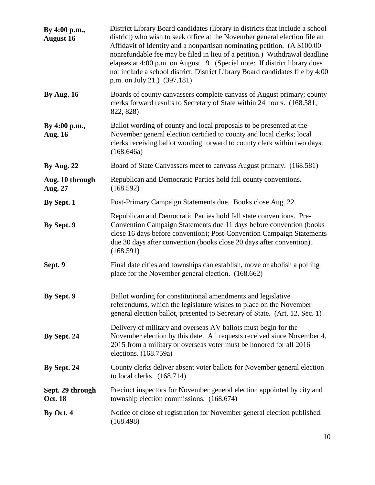| By 4:00 p.m.,<br><b>August 16</b>  | District Library Board candidates (library in districts that include a school<br>district) who wish to seek office at the November general election file an<br>Affidavit of Identity and a nonpartisan nominating petition. (A \$100.00)<br>nonrefundable fee may be filed in lieu of a petition.) Withdrawal deadline<br>elapses at 4:00 p.m. on August 19. (Special note: If district library does<br>not include a school district, District Library Board candidates file by 4:00<br>p.m. on July 21.) (397.181) |
|------------------------------------|----------------------------------------------------------------------------------------------------------------------------------------------------------------------------------------------------------------------------------------------------------------------------------------------------------------------------------------------------------------------------------------------------------------------------------------------------------------------------------------------------------------------|
| <b>By Aug. 16</b>                  | Boards of county canvassers complete canvass of August primary; county<br>clerks forward results to Secretary of State within 24 hours. (168.581,<br>822, 828)                                                                                                                                                                                                                                                                                                                                                       |
| By 4:00 p.m.,<br><b>Aug. 16</b>    | Ballot wording of county and local proposals to be presented at the<br>November general election certified to county and local clerks; local<br>clerks receiving ballot wording forward to county clerk within two days.<br>(168.646a)                                                                                                                                                                                                                                                                               |
| <b>By Aug. 22</b>                  | Board of State Canvassers meet to canvass August primary. (168.581)                                                                                                                                                                                                                                                                                                                                                                                                                                                  |
| Aug. 10 through<br>Aug. 27         | Republican and Democratic Parties hold fall county conventions.<br>(168.592)                                                                                                                                                                                                                                                                                                                                                                                                                                         |
| By Sept. 1                         | Post-Primary Campaign Statements due. Books close Aug. 22.                                                                                                                                                                                                                                                                                                                                                                                                                                                           |
| By Sept. 9                         | Republican and Democratic Parties hold fall state conventions. Pre-<br>Convention Campaign Statements due 11 days before convention (books<br>close 16 days before convention); Post-Convention Campaign Statements<br>due 30 days after convention (books close 20 days after convention).<br>(168.591)                                                                                                                                                                                                             |
| Sept. 9                            | Final date cities and townships can establish, move or abolish a polling<br>place for the November general election. (168.662)                                                                                                                                                                                                                                                                                                                                                                                       |
| By Sept. 9                         | Ballot wording for constitutional amendments and legislative<br>referendums, which the legislature wishes to place on the November<br>general election ballot, presented to Secretary of State. (Art. 12, Sec. 1)                                                                                                                                                                                                                                                                                                    |
| By Sept. 24                        | Delivery of military and overseas AV ballots must begin for the<br>November election by this date. All requests received since November 4,<br>2015 from a military or overseas voter must be honored for all 2016<br>elections. (168.759a)                                                                                                                                                                                                                                                                           |
| By Sept. 24                        | County clerks deliver absent voter ballots for November general election<br>to local clerks. $(168.714)$                                                                                                                                                                                                                                                                                                                                                                                                             |
| Sept. 29 through<br><b>Oct. 18</b> | Precinct inspectors for November general election appointed by city and<br>township election commissions. (168.674)                                                                                                                                                                                                                                                                                                                                                                                                  |
| By Oct. 4                          | Notice of close of registration for November general election published.<br>(168.498)                                                                                                                                                                                                                                                                                                                                                                                                                                |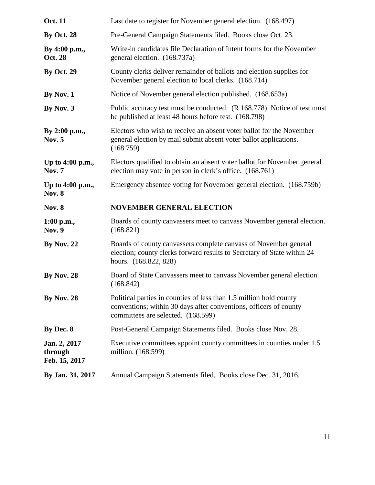| <b>Oct. 11</b>                           | Last date to register for November general election. (168.497)                                                                                                                |  |  |  |
|------------------------------------------|-------------------------------------------------------------------------------------------------------------------------------------------------------------------------------|--|--|--|
| <b>By Oct. 28</b>                        | Pre-General Campaign Statements filed. Books close Oct. 23.                                                                                                                   |  |  |  |
| By 4:00 p.m.,<br><b>Oct. 28</b>          | Write-in candidates file Declaration of Intent forms for the November<br>general election. (168.737a)                                                                         |  |  |  |
| <b>By Oct. 29</b>                        | County clerks deliver remainder of ballots and election supplies for<br>November general election to local clerks. (168.714)                                                  |  |  |  |
| By Nov. 1                                | Notice of November general election published. (168.653a)                                                                                                                     |  |  |  |
| By Nov. 3                                | Public accuracy test must be conducted. (R 168.778) Notice of test must<br>be published at least 48 hours before test. (168.798)                                              |  |  |  |
| By 2:00 p.m.,<br><b>Nov. 5</b>           | Electors who wish to receive an absent voter ballot for the November<br>general election by mail submit absent voter ballot applications.<br>(168.759)                        |  |  |  |
| Up to 4:00 p.m.,<br><b>Nov. 7</b>        | Electors qualified to obtain an absent voter ballot for November general<br>election may vote in person in clerk's office. (168.761)                                          |  |  |  |
| Up to 4:00 p.m.,<br><b>Nov. 8</b>        | Emergency absentee voting for November general election. (168.759b)                                                                                                           |  |  |  |
|                                          |                                                                                                                                                                               |  |  |  |
| <b>Nov. 8</b>                            | <b>NOVEMBER GENERAL ELECTION</b>                                                                                                                                              |  |  |  |
| 1:00 p.m.,<br><b>Nov. 9</b>              | Boards of county canvassers meet to canvass November general election.<br>(168.821)                                                                                           |  |  |  |
| <b>By Nov. 22</b>                        | Boards of county canvassers complete canvass of November general<br>election; county clerks forward results to Secretary of State within 24<br>hours. (168.822, 828)          |  |  |  |
| <b>By Nov. 28</b>                        | Board of State Canvassers meet to canvass November general election.<br>(168.842)                                                                                             |  |  |  |
| <b>By Nov. 28</b>                        | Political parties in counties of less than 1.5 million hold county<br>conventions; within 30 days after conventions, officers of county<br>committees are selected. (168.599) |  |  |  |
| By Dec. 8                                | Post-General Campaign Statements filed. Books close Nov. 28.                                                                                                                  |  |  |  |
| Jan. 2, 2017<br>through<br>Feb. 15, 2017 | Executive committees appoint county committees in counties under 1.5<br>million. (168.599)                                                                                    |  |  |  |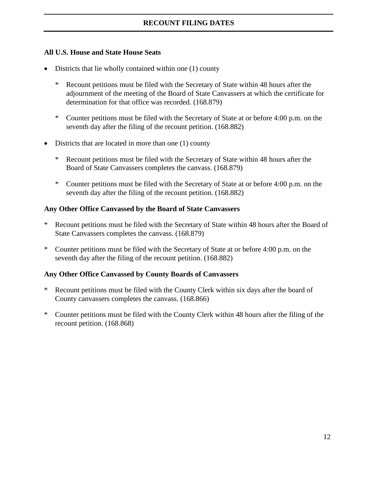#### **All U.S. House and State House Seats**

- Districts that lie wholly contained within one (1) county
	- \* Recount petitions must be filed with the Secretary of State within 48 hours after the adjournment of the meeting of the Board of State Canvassers at which the certificate for determination for that office was recorded. (168.879)
	- \* Counter petitions must be filed with the Secretary of State at or before 4:00 p.m. on the seventh day after the filing of the recount petition. (168.882)
- Districts that are located in more than one (1) county
	- \* Recount petitions must be filed with the Secretary of State within 48 hours after the Board of State Canvassers completes the canvass. (168.879)
	- \* Counter petitions must be filed with the Secretary of State at or before 4:00 p.m. on the seventh day after the filing of the recount petition. (168.882)

#### **Any Other Office Canvassed by the Board of State Canvassers**

- \* Recount petitions must be filed with the Secretary of State within 48 hours after the Board of State Canvassers completes the canvass. (168.879)
- \* Counter petitions must be filed with the Secretary of State at or before 4:00 p.m. on the seventh day after the filing of the recount petition. (168.882)

#### **Any Other Office Canvassed by County Boards of Canvassers**

- Recount petitions must be filed with the County Clerk within six days after the board of County canvassers completes the canvass. (168.866)
- \* Counter petitions must be filed with the County Clerk within 48 hours after the filing of the recount petition. (168.868)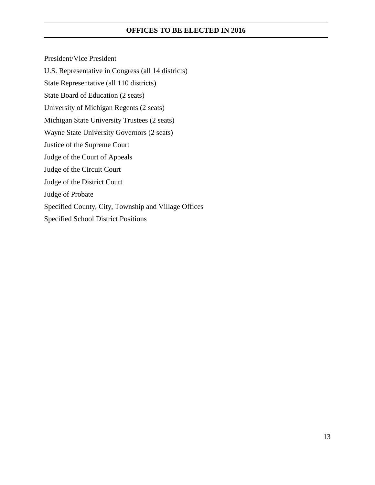#### **OFFICES TO BE ELECTED IN 2016**

President/Vice President U.S. Representative in Congress (all 14 districts) State Representative (all 110 districts) State Board of Education (2 seats) University of Michigan Regents (2 seats) Michigan State University Trustees (2 seats) Wayne State University Governors (2 seats) Justice of the Supreme Court Judge of the Court of Appeals Judge of the Circuit Court Judge of the District Court Judge of Probate Specified County, City, Township and Village Offices Specified School District Positions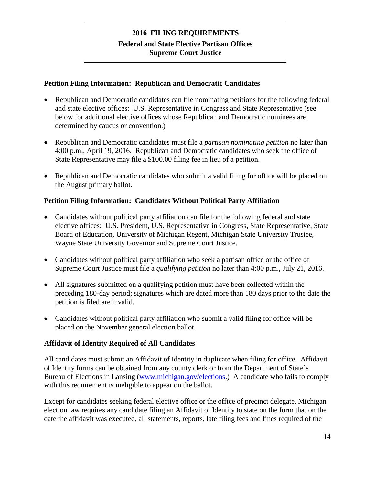#### **2016 FILING REQUIREMENTS Federal and State Elective Partisan Offices Supreme Court Justice**

#### **Petition Filing Information: Republican and Democratic Candidates**

- Republican and Democratic candidates can file nominating petitions for the following federal and state elective offices: U.S. Representative in Congress and State Representative (see below for additional elective offices whose Republican and Democratic nominees are determined by caucus or convention.)
- Republican and Democratic candidates must file a *partisan nominating petition* no later than 4:00 p.m., April 19, 2016. Republican and Democratic candidates who seek the office of State Representative may file a \$100.00 filing fee in lieu of a petition.
- Republican and Democratic candidates who submit a valid filing for office will be placed on the August primary ballot.

#### **Petition Filing Information: Candidates Without Political Party Affiliation**

- Candidates without political party affiliation can file for the following federal and state elective offices: U.S. President, U.S. Representative in Congress, State Representative, State Board of Education, University of Michigan Regent, Michigan State University Trustee, Wayne State University Governor and Supreme Court Justice.
- Candidates without political party affiliation who seek a partisan office or the office of Supreme Court Justice must file a *qualifying petition* no later than 4:00 p.m., July 21, 2016.
- All signatures submitted on a qualifying petition must have been collected within the preceding 180-day period; signatures which are dated more than 180 days prior to the date the petition is filed are invalid.
- Candidates without political party affiliation who submit a valid filing for office will be placed on the November general election ballot.

#### **Affidavit of Identity Required of All Candidates**

All candidates must submit an Affidavit of Identity in duplicate when filing for office. Affidavit of Identity forms can be obtained from any county clerk or from the Department of State's Bureau of Elections in Lansing [\(www.michigan.gov/elections.](http://www.michigan.gov/elections)) A candidate who fails to comply with this requirement is ineligible to appear on the ballot.

Except for candidates seeking federal elective office or the office of precinct delegate, Michigan election law requires any candidate filing an Affidavit of Identity to state on the form that on the date the affidavit was executed, all statements, reports, late filing fees and fines required of the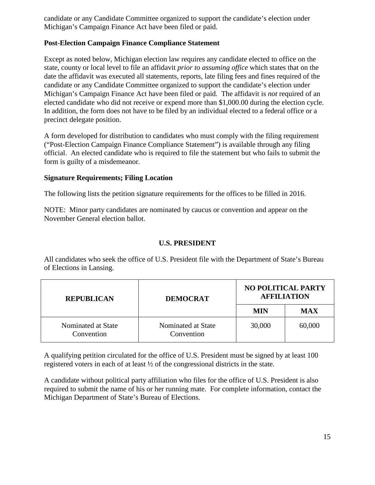candidate or any Candidate Committee organized to support the candidate's election under Michigan's Campaign Finance Act have been filed or paid.

#### **Post-Election Campaign Finance Compliance Statement**

Except as noted below, Michigan election law requires any candidate elected to office on the state, county or local level to file an affidavit *prior to assuming office* which states that on the date the affidavit was executed all statements, reports, late filing fees and fines required of the candidate or any Candidate Committee organized to support the candidate's election under Michigan's Campaign Finance Act have been filed or paid. The affidavit is *not* required of an elected candidate who did not receive or expend more than \$1,000.00 during the election cycle. In addition, the form does not have to be filed by an individual elected to a federal office or a precinct delegate position.

A form developed for distribution to candidates who must comply with the filing requirement ("Post-Election Campaign Finance Compliance Statement") is available through any filing official. An elected candidate who is required to file the statement but who fails to submit the form is guilty of a misdemeanor.

#### **Signature Requirements; Filing Location**

The following lists the petition signature requirements for the offices to be filled in 2016.

NOTE: Minor party candidates are nominated by caucus or convention and appear on the November General election ballot.

#### **U.S. PRESIDENT**

All candidates who seek the office of U.S. President file with the Department of State's Bureau of Elections in Lansing.

| <b>REPUBLICAN</b>                | <b>DEMOCRAT</b>                  | <b>NO POLITICAL PARTY</b><br><b>AFFILIATION</b> |            |
|----------------------------------|----------------------------------|-------------------------------------------------|------------|
|                                  |                                  | MIN                                             | <b>MAX</b> |
| Nominated at State<br>Convention | Nominated at State<br>Convention | 30,000                                          | 60,000     |

A qualifying petition circulated for the office of U.S. President must be signed by at least 100 registered voters in each of at least ½ of the congressional districts in the state.

A candidate without political party affiliation who files for the office of U.S. President is also required to submit the name of his or her running mate. For complete information, contact the Michigan Department of State's Bureau of Elections.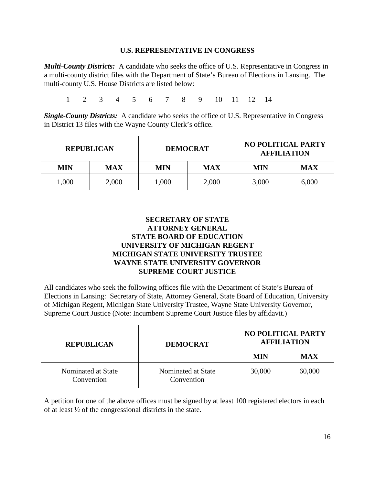#### **U.S. REPRESENTATIVE IN CONGRESS**

*Multi-County Districts:* A candidate who seeks the office of U.S. Representative in Congress in a multi-county district files with the Department of State's Bureau of Elections in Lansing. The multi-county U.S. House Districts are listed below:

1 2 3 4 5 6 7 8 9 10 11 12 14

*Single-County Districts:* A candidate who seeks the office of U.S. Representative in Congress in District 13 files with the Wayne County Clerk's office.

| <b>REPUBLICAN</b> |            | <b>DEMOCRAT</b> |            | <b>NO POLITICAL PARTY</b><br><b>AFFILIATION</b> |            |
|-------------------|------------|-----------------|------------|-------------------------------------------------|------------|
| <b>MIN</b>        | <b>MAX</b> | <b>MIN</b>      | <b>MAX</b> | MIN                                             | <b>MAX</b> |
| 1,000             | 2,000      | 1,000           | 2,000      | 3,000                                           | 6,000      |

#### **SECRETARY OF STATE ATTORNEY GENERAL STATE BOARD OF EDUCATION UNIVERSITY OF MICHIGAN REGENT MICHIGAN STATE UNIVERSITY TRUSTEE WAYNE STATE UNIVERSITY GOVERNOR SUPREME COURT JUSTICE**

All candidates who seek the following offices file with the Department of State's Bureau of Elections in Lansing: Secretary of State, Attorney General, State Board of Education, University of Michigan Regent, Michigan State University Trustee, Wayne State University Governor, Supreme Court Justice (Note: Incumbent Supreme Court Justice files by affidavit.)

| <b>REPUBLICAN</b>                | <b>DEMOCRAT</b>                  | <b>NO POLITICAL PARTY</b><br><b>AFFILIATION</b> |            |  |
|----------------------------------|----------------------------------|-------------------------------------------------|------------|--|
|                                  |                                  | MIN                                             | <b>MAX</b> |  |
| Nominated at State<br>Convention | Nominated at State<br>Convention | 30,000                                          | 60,000     |  |

A petition for one of the above offices must be signed by at least 100 registered electors in each of at least ½ of the congressional districts in the state.